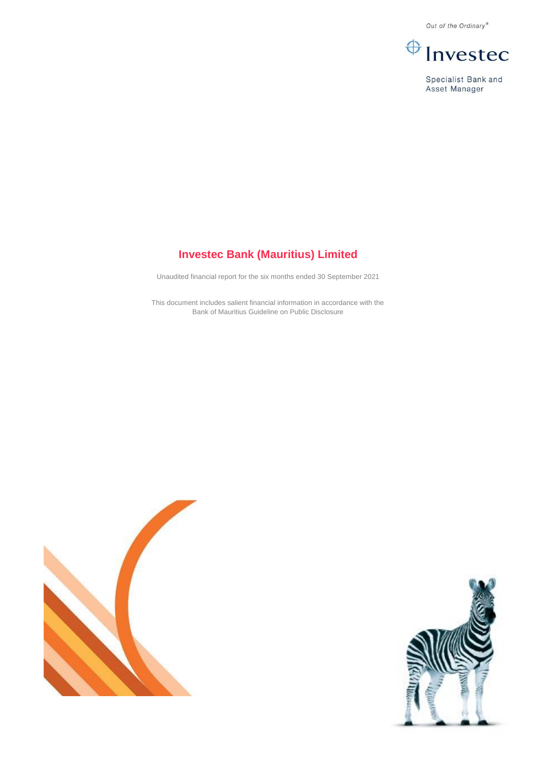Out of the Ordinary®



Specialist Bank and Asset Manager

# **Investec Bank (Mauritius) Limited**

Unaudited financial report for the six months ended 30 September 2021

This document includes salient financial information in accordance with the Bank of Mauritius Guideline on Public Disclosure



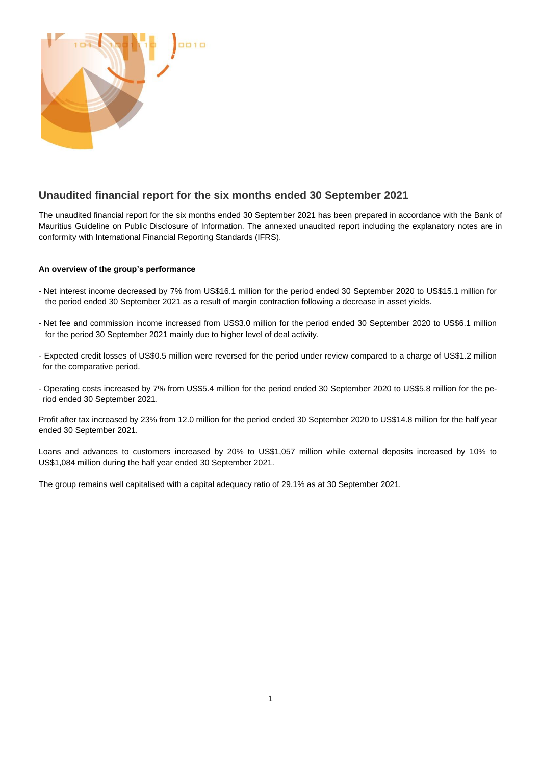

### **Unaudited financial report for the six months ended 30 September 2021**

The unaudited financial report for the six months ended 30 September 2021 has been prepared in accordance with the Bank of Mauritius Guideline on Public Disclosure of Information. The annexed unaudited report including the explanatory notes are in conformity with International Financial Reporting Standards (IFRS).

#### **An overview of the group's performance**

- Net interest income decreased by 7% from US\$16.1 million for the period ended 30 September 2020 to US\$15.1 million for the period ended 30 September 2021 as a result of margin contraction following a decrease in asset yields.
- Net fee and commission income increased from US\$3.0 million for the period ended 30 September 2020 to US\$6.1 million for the period 30 September 2021 mainly due to higher level of deal activity.
- Expected credit losses of US\$0.5 million were reversed for the period under review compared to a charge of US\$1.2 million for the comparative period.
- Operating costs increased by 7% from US\$5.4 million for the period ended 30 September 2020 to US\$5.8 million for the period ended 30 September 2021.

Profit after tax increased by 23% from 12.0 million for the period ended 30 September 2020 to US\$14.8 million for the half year ended 30 September 2021.

Loans and advances to customers increased by 20% to US\$1,057 million while external deposits increased by 10% to US\$1,084 million during the half year ended 30 September 2021.

The group remains well capitalised with a capital adequacy ratio of 29.1% as at 30 September 2021.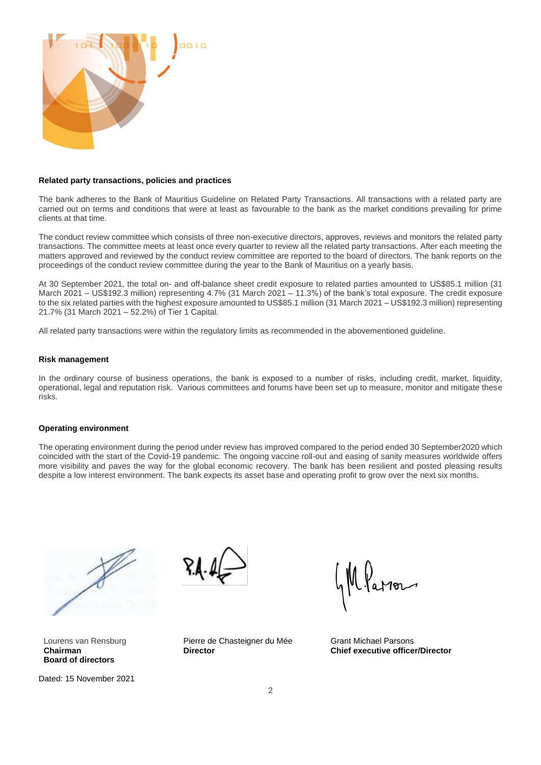

#### **Related party transactions, policies and practices**

The bank adheres to the Bank of Mauritius Guideline on Related Party Transactions. All transactions with a related party are carried out on terms and conditions that were at least as favourable to the bank as the market conditions prevailing for prime clients at that time.

The conduct review committee which consists of three non-executive directors, approves, reviews and monitors the related party transactions. The committee meets at least once every quarter to review all the related party transactions. After each meeting the matters approved and reviewed by the conduct review committee are reported to the board of directors. The bank reports on the proceedings of the conduct review committee during the year to the Bank of Mauritius on a yearly basis.

At 30 September 2021, the total on- and off-balance sheet credit exposure to related parties amounted to US\$85.1 million (31 March 2021 – US\$192.3 million) representing 4.7% (31 March 2021 – 11.3%) of the bank's total exposure. The credit exposure to the six related parties with the highest exposure amounted to US\$85.1 million (31 March 2021 – US\$192.3 million) representing 21.7% (31 March 2021 – 52.2%) of Tier 1 Capital.

All related party transactions were within the regulatory limits as recommended in the abovementioned guideline.

#### **Risk management**

In the ordinary course of business operations, the bank is exposed to a number of risks, including credit, market, liquidity, operational, legal and reputation risk. Various committees and forums have been set up to measure, monitor and mitigate these risks.

#### **Operating environment**

The operating environment during the period under review has improved compared to the period ended 30 September2020 which coincided with the start of the Covid-19 pandemic. The ongoing vaccine roll-out and easing of sanity measures worldwide offers more visibility and paves the way for the global economic recovery. The bank has been resilient and posted pleasing results despite a low interest environment. The bank expects its asset base and operating profit to grow over the next six months.



Lourens van Rensburg **Chairman Board of directors**

Dated: 15 November 2021



Pierre de Chasteigner du Mée **Director**

Wlaron

Grant Michael Parsons **Chief executive officer/Director**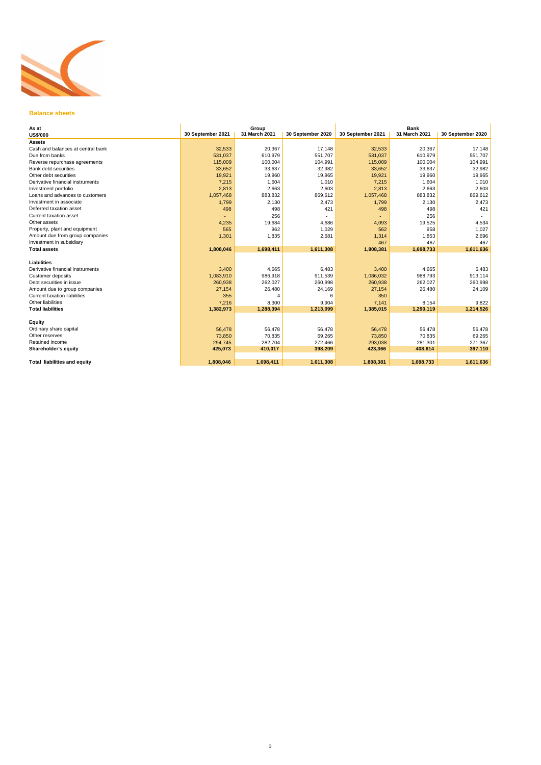

## **Balance sheets**

| As at                                                                |                   | Group         |                   |                   | <b>Bank</b>   |                   |
|----------------------------------------------------------------------|-------------------|---------------|-------------------|-------------------|---------------|-------------------|
| <b>US\$'000</b>                                                      | 30 September 2021 | 31 March 2021 | 30 September 2020 | 30 September 2021 | 31 March 2021 | 30 September 2020 |
| <b>Assets</b>                                                        |                   |               |                   |                   |               |                   |
| Cash and balances at central bank                                    | 32,533            | 20,367        | 17,148            | 32,533            | 20,367        | 17,148            |
| Due from banks                                                       | 531,037           | 610,979       | 551,707           | 531,037           | 610,979       | 551,707           |
| Reverse repurchase agreements                                        | 115,009           | 100,004       | 104,991           | 115,009           | 100,004       | 104,991           |
| <b>Bank debt securities</b>                                          | 33,652            | 33,637        | 32,982            | 33,652            | 33,637        | 32,982            |
| Other debt securities                                                | 19,921            | 19,960        | 19,965            | 19,921            | 19,960        | 19,965            |
| Derivative financial instruments                                     | 7,215             | 1,604         | 1,010             | 7,215             | 1,604         | 1,010             |
| Investment portfolio                                                 | 2,813             | 2,663         | 2,603             | 2,813             | 2,663         | 2,603             |
| Loans and advances to customers                                      | 1,057,468         | 883,832       | 869,612           | 1,057,468         | 883,832       | 869,612           |
| Investment in associate                                              | 1,799             | 2,130         | 2,473             | 1,799             | 2,130         | 2,473             |
| Deferred taxation asset                                              | 498               | 498           | 421               | 498               | 498           | 421               |
| <b>Current taxation asset</b>                                        |                   | 256           |                   |                   | 256           |                   |
| Other assets                                                         | 4,235             | 19,684        | 4,686             | 4,093             | 19,525        | 4,534             |
| Property, plant and equipment                                        | 565               | 962           | 1,029             | 562               | 958           | 1,027             |
| Amount due from group companies                                      | 1,301             | 1,835         | 2,681             | 1,314             | 1,853         | 2,696             |
| Investment in subsidiary                                             |                   |               |                   | 467               | 467           | 467               |
| <b>Total assets</b>                                                  | 1,808,046         | 1,698,411     | 1,611,308         | 1,808,381         | 1,698,733     | 1,611,636         |
|                                                                      |                   |               |                   |                   |               |                   |
| <b>Liabilities</b><br>Derivative financial instruments               |                   |               |                   |                   |               |                   |
|                                                                      | 3,400             | 4,665         | 6,483             | 3,400             | 4,665         | 6,483             |
| Customer deposits<br>Debt securities in issue                        | 1,083,910         | 986,918       | 911,539           | 1,086,032         | 988,793       | 913,114           |
|                                                                      | 260,938           | 262,027       | 260,998           | 260,938           | 262,027       | 260,998           |
| Amount due to group companies<br><b>Current taxation liabilities</b> | 27,154            | 26,480        | 24,169            | 27,154            | 26,480        | 24,109            |
|                                                                      | 355               | 4             | 6                 | 350               |               |                   |
| Other liabilities                                                    | 7,216             | 8,300         | 9,904             | 7,141             | 8,154         | 9,822             |
| <b>Total liabilities</b>                                             | 1,382,973         | 1,288,394     | 1,213,099         | 1,385,015         | 1,290,119     | 1,214,526         |
| <b>Equity</b>                                                        |                   |               |                   |                   |               |                   |
| Ordinary share capital                                               | 56,478            | 56,478        | 56,478            | 56,478            | 56,478        | 56,478            |
| Other reserves                                                       | 73,850            | 70,835        | 69,265            | 73,850            | 70,835        | 69,265            |
| Retained income                                                      | 294,745           | 282,704       | 272,466           | 293,038           | 281,301       | 271,367           |
| <b>Shareholder's equity</b>                                          | 425,073           | 410,017       | 398,209           | 423,366           | 408,614       | 397,110           |
|                                                                      |                   |               |                   |                   |               |                   |
| <b>Total liabilities and equity</b>                                  | 1,808,046         | 1,698,411     | 1,611,308         | 1,808,381         | 1,698,733     | 1,611,636         |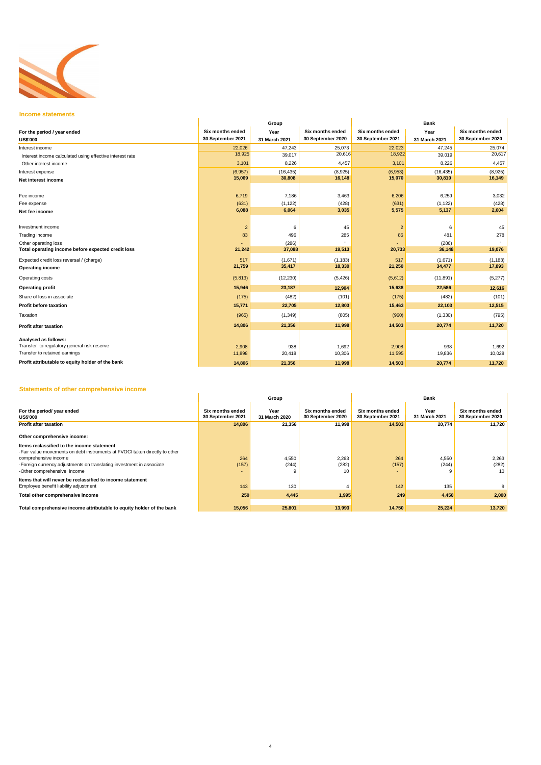

### **Income statements**

## **Statements of other comprehensive income**

| 11100111000101011101110                                  |                                              | Group                 |                                              | <b>Bank</b>                                  |                       |                                       |  |
|----------------------------------------------------------|----------------------------------------------|-----------------------|----------------------------------------------|----------------------------------------------|-----------------------|---------------------------------------|--|
| For the period / year ended<br><b>US\$'000</b>           | <b>Six months ended</b><br>30 September 2021 | Year<br>31 March 2021 | <b>Six months ended</b><br>30 September 2020 | <b>Six months ended</b><br>30 September 2021 | Year<br>31 March 2021 | Six months ended<br>30 September 2020 |  |
| Interest income                                          | 22,026                                       | 47,243                | 25,073                                       | 22,023                                       | 47,245                | 25,074                                |  |
| Interest income calculated using effective interest rate | 18,925                                       | 39,017                | 20,616                                       | 18,922                                       | 39,019                | 20,617                                |  |
| Other interest income                                    | 3,101                                        | 8,226                 | 4,457                                        | 3,101                                        | 8,226                 | 4,457                                 |  |
| Interest expense                                         | (6,957)                                      | (16, 435)             | (8,925)                                      | (6,953)                                      | (16, 435)             | (8,925)                               |  |
| Net interest income                                      | 15,069                                       | 30,808                | 16,148                                       | 15,070                                       | 30,810                | 16,149                                |  |
| Fee income                                               | 6,719                                        | 7,186                 | 3,463                                        | 6,206                                        | 6,259                 | 3,032                                 |  |
| Fee expense                                              | (631)                                        | (1, 122)              | (428)                                        | (631)                                        | (1, 122)              | (428)                                 |  |
| Net fee income                                           | 6,088                                        | 6,064                 | 3,035                                        | 5,575                                        | 5,137                 | 2,604                                 |  |
| Investment income                                        | $\overline{2}$                               | 6                     | 45                                           | $\overline{2}$                               | 6                     | 45                                    |  |
| Trading income                                           | 83                                           | 496                   | 285                                          | 86                                           | 481                   | 278                                   |  |
| Other operating loss                                     |                                              | (286)                 |                                              |                                              | (286)                 |                                       |  |
| Total operating income before expected credit loss       | 21,242                                       | 37,088                | 19,513                                       | 20,733                                       | 36,148                | 19,076                                |  |
| Expected credit loss reversal / (charge)                 | 517                                          | (1,671)               | (1, 183)                                     | 517                                          | (1,671)               | (1, 183)                              |  |
| <b>Operating income</b>                                  | 21,759                                       | 35,417                | 18,330                                       | 21,250                                       | 34,477                | 17,893                                |  |
| <b>Operating costs</b>                                   | (5,813)                                      | (12, 230)             | (5, 426)                                     | (5,612)                                      | (11, 891)             | (5,277)                               |  |
| <b>Operating profit</b>                                  | 15,946                                       | 23,187                | 12,904                                       | 15,638                                       | 22,586                | 12,616                                |  |
| Share of loss in associate                               | (175)                                        | (482)                 | (101)                                        | (175)                                        | (482)                 | (101)                                 |  |
| <b>Profit before taxation</b>                            | 15,771                                       | 22,705                | 12,803                                       | 15,463                                       | 22,103                | 12,515                                |  |
| Taxation                                                 | (965)                                        | (1, 349)              | (805)                                        | (960)                                        | (1, 330)              | (795)                                 |  |
| <b>Profit after taxation</b>                             | 14,806                                       | 21,356                | 11,998                                       | 14,503                                       | 20,774                | 11,720                                |  |
| Analysed as follows:                                     |                                              |                       |                                              |                                              |                       |                                       |  |
| Transfer to regulatory general risk reserve              | 2,908                                        | 938                   | 1,692                                        | 2,908                                        | 938                   | 1,692                                 |  |
| Transfer to retained earnings                            | 11,898                                       | 20,418                | 10,306                                       | 11,595                                       | 19,836                | 10,028                                |  |
| Profit attributable to equity holder of the bank         | 14,806                                       | 21,356                | 11,998                                       | 14,503                                       | 20,774                | 11,720                                |  |

|                                                                                                                          |                                       | Group                 |                                       | <b>Bank</b>                           |                       |                                       |  |
|--------------------------------------------------------------------------------------------------------------------------|---------------------------------------|-----------------------|---------------------------------------|---------------------------------------|-----------------------|---------------------------------------|--|
| For the period/ year ended<br><b>US\$'000</b>                                                                            | Six months ended<br>30 September 2021 | Year<br>31 March 2020 | Six months ended<br>30 September 2020 | Six months ended<br>30 September 2021 | Year<br>31 March 2021 | Six months ended<br>30 September 2020 |  |
| <b>Profit after taxation</b>                                                                                             | 14,806                                | 21,356                | 11,998                                | 14,503                                | 20,774                | 11,720                                |  |
| Other comprehensive income:                                                                                              |                                       |                       |                                       |                                       |                       |                                       |  |
| Items reclassified to the income statement<br>-Fair value movements on debt instruments at FVOCI taken directly to other |                                       |                       |                                       |                                       |                       |                                       |  |
| comprehensive income                                                                                                     | 264                                   | 4,550                 | 2,263                                 | 264                                   | 4,550                 | 2,263                                 |  |
| -Foreign currency adjustments on translating investment in associate<br>-Other comprehensive income                      | (157)<br>$\sim$                       | (244)                 | (282)<br>10                           | (157)<br>$\sim$                       | (244)<br>.9           | (282)<br>10 <sup>°</sup>              |  |
| Items that will never be reclassified to income statement<br>Employee benefit liability adjustment                       | 143                                   | 130                   | 4                                     | 142                                   | 135                   |                                       |  |
| Total other comprehensive income                                                                                         | 250                                   | 4,445                 | 1,995                                 | 249                                   | 4,450                 | 2,000                                 |  |
|                                                                                                                          |                                       |                       |                                       |                                       |                       |                                       |  |
| Total comprehensive income attributable to equity holder of the bank                                                     | 15,056                                | 25,801                | 13,993                                | 14,750                                | 25,224                | 13,720                                |  |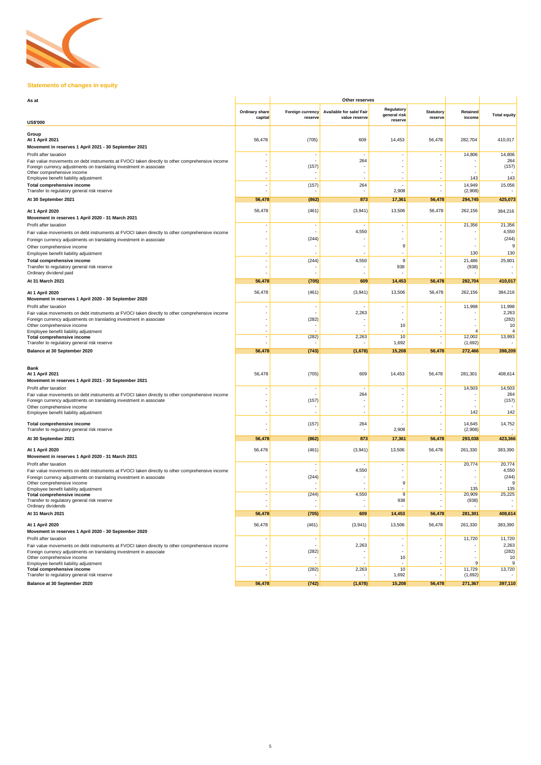

# **Statements of changes in equity**

| As at                                                                                                                                                                                                                                                                 |                                  | <b>Other reserves</b>              |                                           |                                       |                             |                           |                                |
|-----------------------------------------------------------------------------------------------------------------------------------------------------------------------------------------------------------------------------------------------------------------------|----------------------------------|------------------------------------|-------------------------------------------|---------------------------------------|-----------------------------|---------------------------|--------------------------------|
|                                                                                                                                                                                                                                                                       | <b>Ordinary share</b><br>capital | <b>Foreign currency</b><br>reserve | Available for sale/ Fair<br>value reserve | Regulatory<br>general risk<br>reserve | Statutory<br><b>reserve</b> | <b>Retained</b><br>income | <b>Total equity</b>            |
| <b>US\$'000</b>                                                                                                                                                                                                                                                       |                                  |                                    |                                           |                                       |                             |                           |                                |
| Group<br><b>At 1 April 2021</b><br>Movement in reserves 1 April 2021 - 30 September 2021                                                                                                                                                                              | 56,478                           | (705)                              | 609                                       | 14,453                                | 56,478                      | 282,704                   | 410,017                        |
| Profit after taxation<br>Fair value movements on debt instruments at FVOCI taken directly to other comprehensive income<br>Foreign currency adjustments on translating investment in associate<br>Other comprehensive income                                          |                                  | (157)                              | $\overline{\phantom{a}}$<br>264           |                                       |                             | 14,806                    | 14,806<br>264<br>(157)         |
| Employee benefit liability adjustment<br><b>Total comprehensive income</b><br>Transfer to regulatory general risk reserve                                                                                                                                             |                                  | (157)                              | 264                                       | 2,908                                 |                             | 143<br>14,949             | 143<br>15,056                  |
| At 30 September 2021                                                                                                                                                                                                                                                  | 56,478                           | (862)                              | 873                                       | 17,361                                | 56,478                      | (2,908)<br>294,745        | 425,073                        |
|                                                                                                                                                                                                                                                                       |                                  |                                    |                                           |                                       |                             |                           |                                |
| <b>At 1 April 2020</b><br>Movement in reserves 1 April 2020 - 31 March 2021                                                                                                                                                                                           | 56,478                           | (461)                              | (3,941)                                   | 13,506                                | 56,478                      | 262,156                   | 384,216                        |
| Profit after taxation<br>Fair value movements on debt instruments at FVOCI taken directly to other comprehensive income<br>Foreign currency adjustments on translating investment in associate                                                                        |                                  | (244)                              | 4,550                                     |                                       |                             | 21,356                    | 21,356<br>4,550<br>(244)       |
| Other comprehensive income<br>Employee benefit liability adjustment                                                                                                                                                                                                   |                                  |                                    |                                           | 9                                     |                             | 130                       | 130                            |
| <b>Total comprehensive income</b><br>Transfer to regulatory general risk reserve<br>Ordinary dividend paid                                                                                                                                                            |                                  | (244)                              | 4,550                                     | 9<br>938                              |                             | 21,486<br>(938)           | 25,801                         |
| At 31 March 2021                                                                                                                                                                                                                                                      | 56,478                           | (705)                              | 609                                       | 14,453                                | 56,478                      | 282,704                   | 410,017                        |
| <b>At 1 April 2020</b><br>Movement in reserves 1 April 2020 - 30 September 2020                                                                                                                                                                                       | 56,478                           | (461)                              | (3,941)                                   | 13,506                                | 56,478                      | 262,156                   | 384,216                        |
| Profit after taxation<br>Fair value movements on debt instruments at FVOCI taken directly to other comprehensive income<br>Foreign currency adjustments on translating investment in associate                                                                        |                                  | (282)                              | 2,263                                     |                                       |                             | 11,998                    | 11,998<br>2,263<br>(282)       |
| Other comprehensive income<br>Employee benefit liability adjustment                                                                                                                                                                                                   |                                  |                                    |                                           | 10                                    |                             |                           | 10                             |
| <b>Total comprehensive income</b><br>Transfer to regulatory general risk reserve                                                                                                                                                                                      |                                  | (282)                              | 2,263                                     | 10<br>1,692                           |                             | 12,002<br>(1,692)         | 13,993                         |
| <b>Balance at 30 September 2020</b>                                                                                                                                                                                                                                   | 56,478                           | (743)                              | (1,678)                                   | 15,208                                | 56,478                      | 272,466                   | 398,209                        |
|                                                                                                                                                                                                                                                                       |                                  |                                    |                                           |                                       |                             |                           |                                |
| <b>Bank</b><br><b>At 1 April 2021</b><br>Movement in reserves 1 April 2021 - 30 September 2021                                                                                                                                                                        | 56,478                           | (705)                              | 609                                       | 14,453                                | 56,478                      | 281,301                   | 408,614                        |
| Profit after taxation<br>Fair value movements on debt instruments at FVOCI taken directly to other comprehensive income<br>Foreign currency adjustments on translating investment in associate<br>Other comprehensive income<br>Employee benefit liability adjustment |                                  | (157)                              | 264                                       |                                       |                             | 14,503<br>142             | 14,503<br>264<br>(157)<br>142  |
| <b>Total comprehensive income</b><br>Transfer to regulatory general risk reserve                                                                                                                                                                                      |                                  | (157)                              | 264                                       | 2,908                                 |                             | 14,645<br>(2,908)         | 14,752                         |
| At 30 September 2021                                                                                                                                                                                                                                                  | 56,478                           | (862)                              | 873                                       | 17,361                                | 56,478                      | 293,038                   | 423,366                        |
| <b>At 1 April 2020</b><br>Movement in reserves 1 April 2020 - 31 March 2021                                                                                                                                                                                           | 56,478                           | (461)                              | (3,941)                                   | 13,506                                | 56,478                      | 261,330                   | 383,390                        |
| Profit after taxation<br>Fair value movements on debt instruments at FVOCI taken directly to other comprehensive income                                                                                                                                               |                                  | (244)                              | 4,550                                     |                                       |                             | 20,774                    | 20,774<br>4,550<br>(244)       |
| Foreign currency adjustments on translating investment in associate<br>Other comprehensive income                                                                                                                                                                     |                                  |                                    |                                           |                                       |                             |                           |                                |
| Employee benefit liability adjustment<br><b>Total comprehensive income</b><br>Transfer to regulatory general risk reserve<br>Ordinary dividends                                                                                                                       |                                  | (244)                              | 4,550                                     | 9<br>938                              |                             | 135<br>20,909<br>(938)    | 135<br>25,225                  |
| At 31 March 2021                                                                                                                                                                                                                                                      | 56,478                           | (705)                              | 609                                       | 14,453                                | 56,478                      | 281,301                   | 408,614                        |
| <b>At 1 April 2020</b><br>Movement in reserves 1 April 2020 - 30 September 2020                                                                                                                                                                                       | 56,478                           | (461)                              | (3,941)                                   | 13,506                                | 56,478                      | 261,330                   | 383,390                        |
| Profit after taxation<br>Fair value movements on debt instruments at FVOCI taken directly to other comprehensive income<br>Foreign currency adjustments on translating investment in associate<br>Other comprehensive income                                          |                                  | (282)                              | 2,263                                     | 10                                    |                             | 11,720                    | 11,720<br>2,263<br>(282)<br>10 |
| Employee benefit liability adjustment<br><b>Total comprehensive income</b><br>Transfer to regulatory general risk reserve                                                                                                                                             |                                  | (282)                              | 2,263                                     | 10<br>1,692                           |                             | 11,729<br>(1,692)         | 13,720                         |
| <b>Balance at 30 September 2020</b>                                                                                                                                                                                                                                   | 56,478                           | (742)                              | (1,678)                                   | 15,208                                | 56,478                      | 271,367                   | 397,110                        |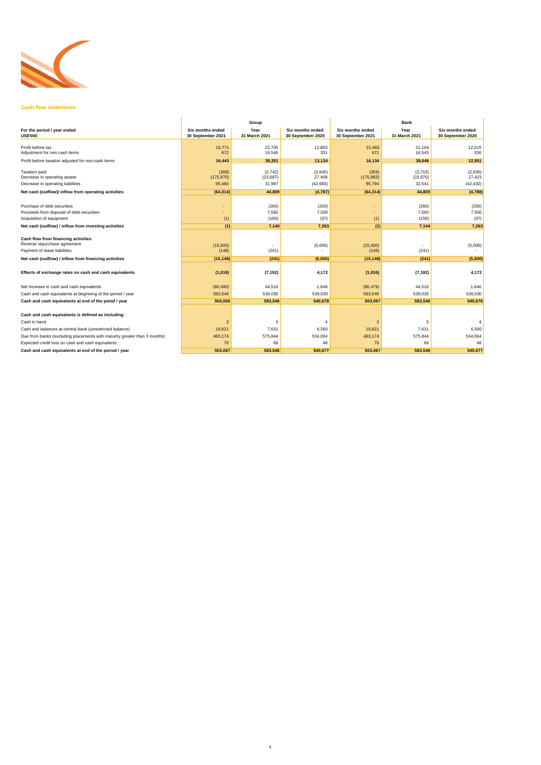

## **Cash flow statements**

| Expected credit loss on cash and cash equivalents     | 70.     |         |         | 70 <sub>1</sub> |         |         |
|-------------------------------------------------------|---------|---------|---------|-----------------|---------|---------|
| Cash and cash equivalents at end of the period / year | 503,067 | 583,546 | 540,677 | 503,067         | 583,546 | 540,677 |

|                                                                           |                                              | Group                 |                                              | <b>Bank</b>                                  |                       |                                              |  |
|---------------------------------------------------------------------------|----------------------------------------------|-----------------------|----------------------------------------------|----------------------------------------------|-----------------------|----------------------------------------------|--|
| For the period / year ended<br><b>US\$'000</b>                            | <b>Six months ended</b><br>30 September 2021 | Year<br>31 March 2021 | <b>Six months ended</b><br>30 September 2020 | <b>Six months ended</b><br>30 September 2021 | Year<br>31 March 2021 | <b>Six months ended</b><br>30 September 2020 |  |
| Profit before tax                                                         | 15,771                                       | 22,705                | 12,803                                       | 15,463                                       | 22,104                | 12,515                                       |  |
| Adjustment for non cash items                                             | 672                                          | 16,546                | 331                                          | 671                                          | 16,545                | 336                                          |  |
| Profit before taxation adjusted for non-cash items                        | 16,443                                       | 39,251                | 13,134                                       | 16,134                                       | 38,649                | 12,851                                       |  |
| <b>Taxation paid</b>                                                      | (368)                                        | (2,742)               | (2,645)                                      | (359)                                        | (2,715)               | (2,630)                                      |  |
| Decrease in operating assets                                              | (175, 870)                                   | (23, 687)             | 27,408                                       | (175, 883)                                   | (23, 670)             | 27,423                                       |  |
| Decrease in operating liabilities                                         | 95,480                                       | 31,987                | (42, 683)                                    | 95,794                                       | 32,541                | (42, 432)                                    |  |
| Net cash (outflow)/ inflow from operating activities                      | (64, 314)                                    | 44,809                | (4,787)                                      | (64, 314)                                    | 44,805                | (4,788)                                      |  |
|                                                                           |                                              |                       |                                              |                                              |                       |                                              |  |
| Purchase of debt securities                                               |                                              | (260)                 | (200)                                        |                                              | (260)                 | (200)                                        |  |
| Proceeds from disposal of debt securities                                 |                                              | 7,560                 | 7,500                                        |                                              | 7,560                 | 7,500                                        |  |
| Acquisition of equipment                                                  | (1)                                          | (160)                 | (37)                                         | (1)                                          | (156)                 | (37)                                         |  |
| Net cash (outflow) / inflow from investing activities                     | (1)                                          | 7,140                 | 7,263                                        | (1)                                          | 7,144                 | 7,263                                        |  |
|                                                                           |                                              |                       |                                              |                                              |                       |                                              |  |
| <b>Cash flow from financing activities</b>                                |                                              |                       |                                              |                                              |                       |                                              |  |
| Reverse repurchase agreement                                              | (15,000)                                     |                       | (5,000)                                      | (15,000)                                     |                       | (5,000)                                      |  |
| Payment of lease liabilities                                              | (148)                                        | (241)                 |                                              | (148)                                        | (241)                 |                                              |  |
| Net cash (outflow) / inflow from financing activities                     | (15, 148)                                    | (241)                 | (5,000)                                      | (15, 148)                                    | (241)                 | (5,000)                                      |  |
| Effects of exchange rates on cash and cash equivalents                    | (1,016)                                      | (7, 192)              | 4,172                                        | (1,016)                                      | (7, 192)              | 4,172                                        |  |
| Net increase in cash and cash equivalents                                 | (80, 480)                                    | 44,516                | 1,648                                        | (80, 479)                                    | 44,516                | 1,646                                        |  |
| Cash and cash equivalents at beginning of the period / year               | 583,546                                      | 539,030               | 539,030                                      | 583,546                                      | 539,030               | 539,030                                      |  |
| Cash and cash equivalents at end of the peiod / year                      | 503,066                                      | 583,546               | 540,678                                      | 503,067                                      | 583,546               | 540,676                                      |  |
|                                                                           |                                              |                       |                                              |                                              |                       |                                              |  |
| Cash and cash equivalents is defined as including:                        |                                              |                       |                                              |                                              |                       |                                              |  |
| Cash in hand                                                              | $\overline{2}$                               |                       |                                              |                                              | 5                     |                                              |  |
| Cash and balances at central bank (unrestricted balance)                  | 19,821                                       | 7,631                 | 6,560                                        | 19,821                                       | 7,631                 | 6,560                                        |  |
| Due from banks (excluding placements with maturity greater than 3 months) | 483,174                                      | 575,844               | 534,064                                      | 483,174                                      | 575,844               | 534,064                                      |  |
|                                                                           |                                              |                       |                                              |                                              |                       |                                              |  |

|  |  | LADUCUU CIUDI IOSS ON CASH ANU CASH UUUVAIUNS. |  |
|--|--|------------------------------------------------|--|
|--|--|------------------------------------------------|--|

**Cash and cash equivalents at end of the period / year** 

6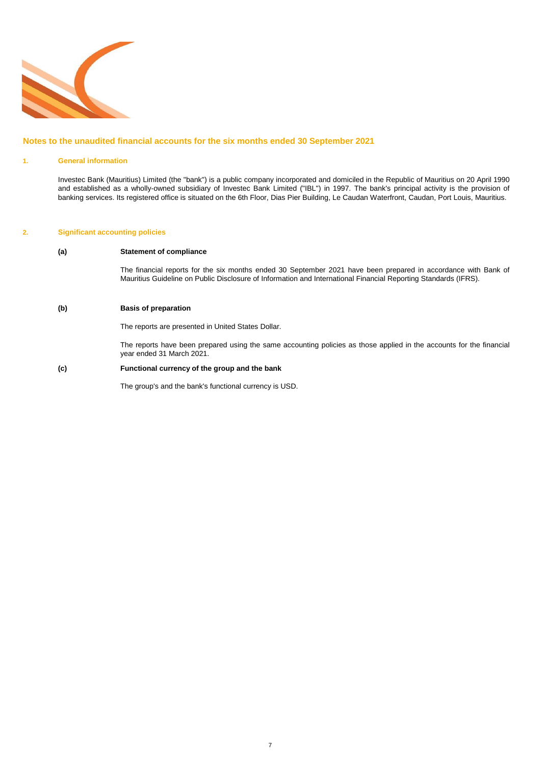

### **Notes to the unaudited financial accounts for the six months ended 30 September 2021**

### **1. General information**

### **2. Significant accounting policies**

### **(a) Statement of compliance**

### **(b) Basis of preparation**

### **(c) Functional currency of the group and the bank**

Investec Bank (Mauritius) Limited (the "bank") is a public company incorporated and domiciled in the Republic of Mauritius on 20 April 1990 and established as a wholly-owned subsidiary of Investec Bank Limited ("IBL") in 1997. The bank's principal activity is the provision of banking services. Its registered office is situated on the 6th Floor, Dias Pier Building, Le Caudan Waterfront, Caudan, Port Louis, Mauritius.

> The financial reports for the six months ended 30 September 2021 have been prepared in accordance with Bank of Mauritius Guideline on Public Disclosure of Information and International Financial Reporting Standards (IFRS).

> The reports have been prepared using the same accounting policies as those applied in the accounts for the financial year ended 31 March 2021.

The reports are presented in United States Dollar.

The group's and the bank's functional currency is USD.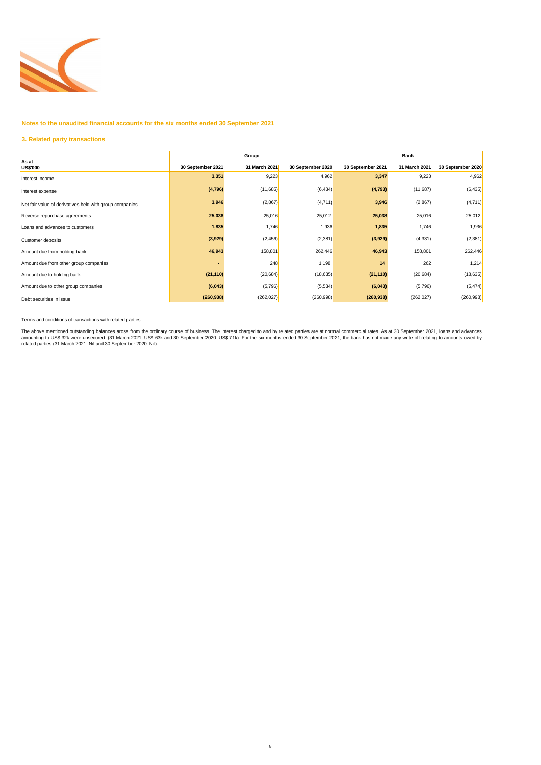

**Notes to the unaudited financial accounts for the six months ended 30 September 2021**

## **3. Related party transactions**

Terms and conditions of transactions with related parties

|                                                         |                   | Group         |                   | <b>Bank</b>       |               |                   |  |
|---------------------------------------------------------|-------------------|---------------|-------------------|-------------------|---------------|-------------------|--|
| As at<br><b>US\$'000</b>                                | 30 September 2021 | 31 March 2021 | 30 September 2020 | 30 September 2021 | 31 March 2021 | 30 September 2020 |  |
| Interest income                                         | 3,351             | 9,223         | 4,962             | 3,347             | 9,223         | 4,962             |  |
| Interest expense                                        | (4, 796)          | (11,685)      | (6, 434)          | (4, 793)          | (11,687)      | (6, 435)          |  |
| Net fair value of derivatives held with group companies | 3,946             | (2,867)       | (4,711)           | 3,946             | (2,867)       | (4,711)           |  |
| Reverse repurchase agreements                           | 25,038            | 25,016        | 25,012            | 25,038            | 25,016        | 25,012            |  |
| Loans and advances to customers                         | 1,835             | 1,746         | 1,936             | 1,835             | 1,746         | 1,936             |  |
| Customer deposits                                       | (3,929)           | (2, 456)      | (2, 381)          | (3,929)           | (4, 331)      | (2, 381)          |  |
| Amount due from holding bank                            | 46,943            | 158,801       | 262,446           | 46,943            | 158,801       | 262,446           |  |
| Amount due from other group companies                   |                   | 248           | 1,198             | 14                | 262           | 1,214             |  |
| Amount due to holding bank                              | (21, 110)         | (20, 684)     | (18, 635)         | (21, 110)         | (20, 684)     | (18, 635)         |  |
| Amount due to other group companies                     | (6,043)           | (5,796)       | (5,534)           | (6,043)           | (5,796)       | (5, 474)          |  |
| Debt securities in issue                                | (260, 938)        | (262, 027)    | (260, 998)        | (260, 938)        | (262, 027)    | (260, 998)        |  |

The above mentioned outstanding balances arose from the ordinary course of business. The interest charged to and by related parties are at normal commercial rates. As at 30 September 2021, loans and advances amounting to US\$ 32k were unsecured (31 March 2021: US\$ 63k and 30 September 2020: US\$ 71k). For the six months ended 30 September 2021, the bank has not made any write-off relating to amounts owed by related parties (31 March 2021: Nil and 30 September 2020: Nil).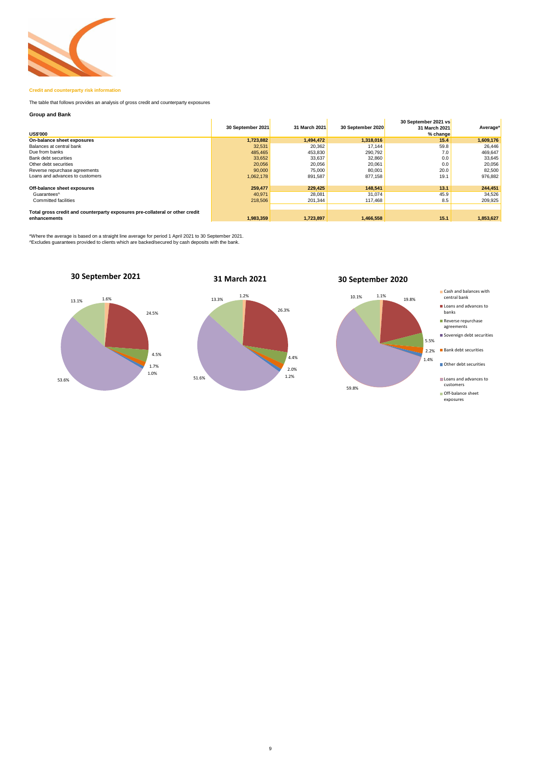

### **Credit and counterparty risk information**

### **Group and Bank**

| <b>US\$'000</b>                                                                              | 30 September 2021 | 31 March 2021 | 30 September 2020 | 30 September 2021 vs<br>31 March 2021<br>% change | Average*  |
|----------------------------------------------------------------------------------------------|-------------------|---------------|-------------------|---------------------------------------------------|-----------|
| On-balance sheet exposures                                                                   | 1,723,882         | 1,494,472     | 1,318,016         | 15.4                                              | 1,609,176 |
| Balances at central bank                                                                     | 32,531            | 20,362        | 17,144            | 59.8                                              | 26,446    |
| Due from banks                                                                               | 485,465           | 453,830       | 290,792           | 7.0                                               | 469,647   |
| <b>Bank debt securities</b>                                                                  | 33,652            | 33,637        | 32,860            | 0.0                                               | 33,645    |
| Other debt securities                                                                        | 20,056            | 20,056        | 20,061            | 0.0                                               | 20,056    |
| Reverse repurchase agreements                                                                | 90,000            | 75,000        | 80,001            | 20.0                                              | 82,500    |
| Loans and advances to customers                                                              | 1,062,178         | 891,587       | 877,158           | 19.1                                              | 976,882   |
| Off-balance sheet exposures                                                                  | 259,477           | 229,425       | 148,541           | 13.1                                              | 244,451   |
| Guarantees <sup>^</sup>                                                                      | 40,971            | 28,081        | 31,074            | 45.9                                              | 34,526    |
| <b>Committed facilities</b>                                                                  | 218,506           | 201,344       | 117,468           | 8.5                                               | 209,925   |
|                                                                                              |                   |               |                   |                                                   |           |
| Total gross credit and counterparty exposures pre-collateral or other credit<br>enhancements | 1,983,359         | 1,723,897     | 1,466,558         | 15.1                                              | 1,853,627 |

\*Where the average is based on a straight line average for period 1 April 2021 to 30 September 2021. ^Excludes guarantees provided to clients which are backed/secured by cash deposits with the bank.

The table that follows provides an analysis of gross credit and counterparty exposures

# **30 September 2020**



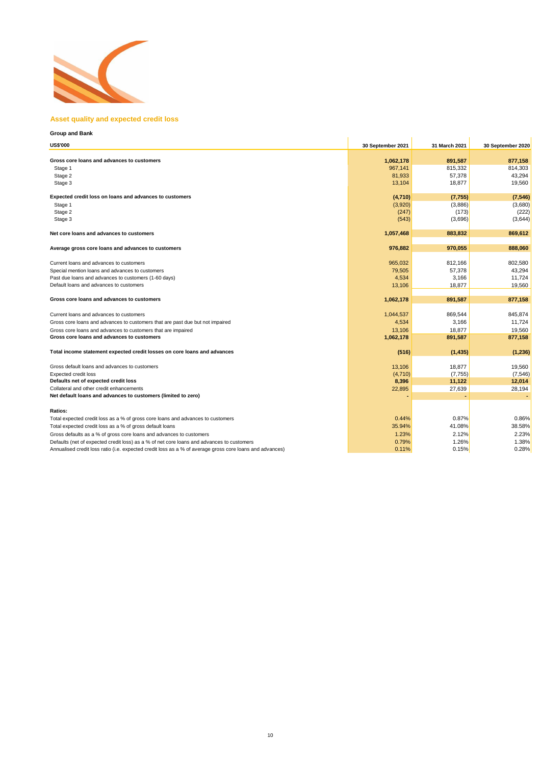

### **Asset quality and expected credit loss**

# **Group and Bank US\$'000 30 September 2021 31 March 2021 30 September 2020 Gross core loans and advances to customers** and advances to customers **1,062,178 891,587** 877,158 Stage 1 967,141 815,332 814,303 Stage 2 81,933 57,378 43,294 Stage 3 13,104 18,877 19,560 **Expected credit loss on loans and advances to customers** (7,546) (7,755) (7,755) (7,755) (7,546) Stage 1 (3,920) (3,886) (3,680) Stage 2 (247) (173) (222) Stage 3 (543) (3,696) (3,644) **Net core loans and advances to customers** 1,057,468 883,832 869,612 **Average gross core loans and advances to customers** and advances to customers and advances to customers and advances to customers and advances to customers and advances to customers and advances and advances to customers Current loans and advances to customers **802,580** 812,166 802,580 Special mention loans and advances to customers **6.2.294** 43,294 Past due loans and advances to customers (1-60 days) and the state of the state of the state of the state of the state of the state of the state of the state of the state of the state of the state of the state of the state Default loans and advances to customers **19,560** 18,877 19,560 **Gross core loans and advances to customers 1,062,178 891,587 877,158** Current loans and advances to customers **1,044,537** 869,544 845,874 Gross core loans and advances to customers that are past due but not impaired and and advances to customers that are past due but not impaired and advances to customers that are past due but not impaired and and advances t Gross core loans and advances to customers that are impaired 19,560 in the state of the state of the state of the state of the state of the state of the state of the state of the state of the state of the state of the stat **Gross core loans and advances to customers 1,062,178 891,587 877,158 891,587 877,158** Total income statement expected credit losses on core loans and advances **(516)** (516) (516) (1,435) (1,435) (1,236) Gross default loans and advances to customers **19,560** 19,560 and a value of the control of the control of the control of the control of the control of the control of the control of the control of the control of the contro Expected credit loss (4,710) (7,755) (7,546) **Defaults net of expected credit loss** 8,396 **11,122** 12,014 Collateral and other credit enhancements 28,194 **Net default loans and advances to customers (limited to zero) Ratios:**

Total expected credit loss as a % of gross core loans and advances to customers **0.44%** 0.87% 0.87% 0.86% Total expected credit loss as a % of gross default loans 38.58% Gross defaults as a % of gross core loans and advances to customers **1.23%** 2.23% 2.23% 2.23% 2.23% 2.23% 2.23% 2.23% Defaults (net of expected credit loss) as a % of net core loans and advances to customers 0.79% 1.26% 1.38% 1.38% Annualised credit loss ratio (i.e. expected credit loss as a % of average gross core loans and advances) 0.11% 0.11% 0.15% 0.15% 0.28%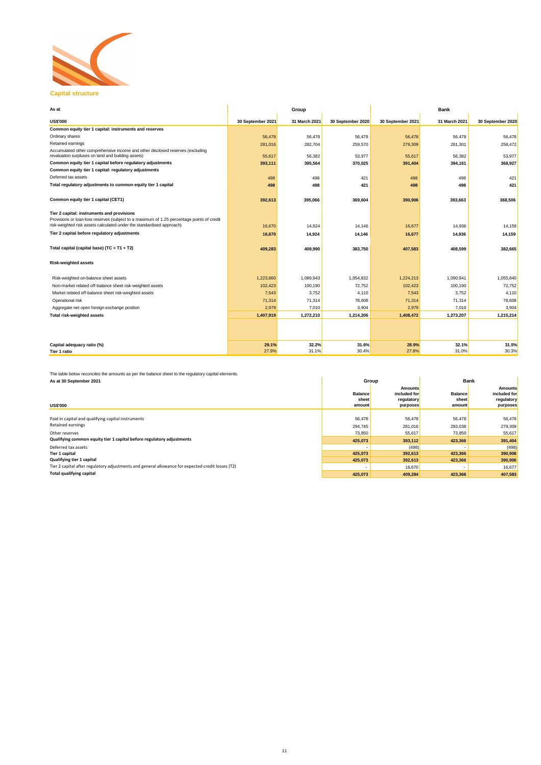

## **Capital structure**

| As at                                                                                                                                                               |                   | Group         |                   | <b>Bank</b>       |               |                   |  |
|---------------------------------------------------------------------------------------------------------------------------------------------------------------------|-------------------|---------------|-------------------|-------------------|---------------|-------------------|--|
| <b>US\$'000</b>                                                                                                                                                     | 30 September 2021 | 31 March 2021 | 30 September 2020 | 30 September 2021 | 31 March 2021 | 30 September 2020 |  |
| Common equity tier 1 capital: instruments and reserves                                                                                                              |                   |               |                   |                   |               |                   |  |
| Ordinary shares                                                                                                                                                     | 56,478            | 56,478        | 56,478            | 56,478            | 56,478        | 56,478            |  |
| Retained earnings                                                                                                                                                   | 281,016           | 282,704       | 259,570           | 279,309           | 281,301       | 258,472           |  |
| Accumulated other comprehensive income and other disclosed reserves (excluding<br>revaluation surpluses on land and building assets)                                | 55,617            | 56,382        | 53,977            | 55,617            | 56,382        | 53,977            |  |
| Common equity tier 1 capital before regulatory adjustments                                                                                                          | 393,111           | 395,564       | 370,025           | 391,404           | 394,161       | 368,927           |  |
| Common equity tier 1 capital: regulatory adjustments                                                                                                                |                   |               |                   |                   |               |                   |  |
| Deferred tax assets                                                                                                                                                 | 498               | 498           | 421               | 498               | 498           | 421               |  |
| Total regulatory adjustments to common equity tier 1 capital                                                                                                        | 498               | 498           | 421               | 498               | 498           | 421               |  |
| Common equity tier 1 capital (CET1)                                                                                                                                 | 392,613           | 395,066       | 369,604           | 390,906           | 393,663       | 368,506           |  |
| Tier 2 capital: instruments and provisions                                                                                                                          |                   |               |                   |                   |               |                   |  |
| Provisions or loan-loss reserves (subject to a maximum of 1.25 percentage points of credit<br>risk-weighted risk assets calculated under the standardised approach) | 16,670            | 14,924        | 14,146            | 16,677            | 14,936        | 14,159            |  |
| Tier 2 capital before regulatory adjustments                                                                                                                        | 16,670            | 14,924        | 14,146            | 16,677            | 14,936        | 14,159            |  |
| Total capital (capital base) (TC = T1 + T2)                                                                                                                         | 409,283           | 409,990       | 383,750           | 407,583           | 408,599       | 382,665           |  |
| <b>Risk-weighted assets</b>                                                                                                                                         |                   |               |                   |                   |               |                   |  |
| Risk-weighted on-balance sheet assets                                                                                                                               | 1,223,660         | 1,089,943     | 1,054,832         | 1,224,213         | 1,090,941     | 1,055,840         |  |
| Non-market related off-balance sheet risk-weighted assets                                                                                                           | 102,423           | 100,190       | 72,752            | 102,423           | 100,190       | 72,752            |  |
| Market related off-balance sheet risk-weighted assets                                                                                                               | 7,543             | 3,752         | 4,110             | 7,543             | 3,752         | 4,110             |  |
| Operational risk                                                                                                                                                    | 71,314            | 71,314        | 78,608            | 71,314            | 71,314        | 78,608            |  |
| Aggregate net open foreign exchange position                                                                                                                        | 2,979             | 7,010         | 3,904             | 2,979             | 7,010         | 3,904             |  |
| <b>Total risk-weighted assets</b>                                                                                                                                   | 1,407,919         | 1,272,210     | 1,214,206         | 1,408,472         | 1,273,207     | 1,215,214         |  |
|                                                                                                                                                                     |                   |               |                   |                   |               |                   |  |
|                                                                                                                                                                     |                   |               |                   |                   |               |                   |  |
| Capital adequacy ratio (%)                                                                                                                                          | 29.1%             | 32.2%         | <b>31.6%</b>      | 28.9%             | 32.1%         | 31.5%             |  |
| Tier 1 ratio                                                                                                                                                        | 27.9%             | 31.1%         | 30.4%             | 27.8%             | 31.0%         | 30.3%             |  |

The table below reconciles the amounts as per the balance sheet to the regulatory capital elements.

| As at 30 September 2021                                                                           |                                    | Group                                                    | <b>Bank</b>                       |                                                          |  |
|---------------------------------------------------------------------------------------------------|------------------------------------|----------------------------------------------------------|-----------------------------------|----------------------------------------------------------|--|
| <b>US\$'000</b>                                                                                   | <b>Balance</b><br>sheet<br>amount∣ | <b>Amounts</b><br>included for<br>regulatory<br>purposes | <b>Balance</b><br>sheet<br>amount | <b>Amounts</b><br>included for<br>regulatory<br>purposes |  |
|                                                                                                   |                                    |                                                          |                                   |                                                          |  |
| Paid in capital and qualifying capital instruments                                                | 56,478                             | 56,478                                                   | 56,478                            | 56,478                                                   |  |
| Retained earnings                                                                                 | 294,745                            | 281,016                                                  | 293,038                           | 279,309                                                  |  |
| Other reserves                                                                                    | 73,850                             | 55,617                                                   | 73,850                            | 55,617                                                   |  |
| Qualifying common equity tier 1 capital before regulatory adjustments                             | 425,073                            | 393,112                                                  | 423,366                           | 391,404                                                  |  |
| Deferred tax assets                                                                               |                                    | (498)                                                    |                                   | (498)                                                    |  |
| Tier 1 capital                                                                                    | 425,073                            | 392,613                                                  | 423,366                           | 390,906                                                  |  |
| <b>Qualifying tier 1 capital</b>                                                                  | 425,073                            | 392,613                                                  | 423,366                           | 390,906                                                  |  |
| Tier 2 capital after regulatory adjustments and general allowance for expected credit losses (T2) |                                    | 16,670                                                   |                                   | 16,677                                                   |  |
| <b>Total qualifying capital</b>                                                                   | 425,073                            | 409,284                                                  | 423,366                           | 407,583                                                  |  |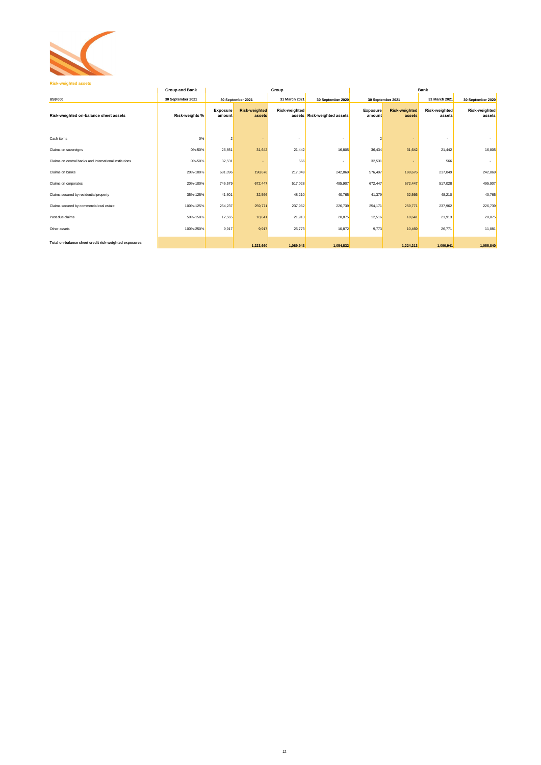

### **Risk-weighted assets**

|                                                        | <b>Group and Bank</b> | Group                     |                                |                          |                             |                           | <b>Bank</b>                    |                         |                                |  |
|--------------------------------------------------------|-----------------------|---------------------------|--------------------------------|--------------------------|-----------------------------|---------------------------|--------------------------------|-------------------------|--------------------------------|--|
| <b>US\$'000</b>                                        | 30 September 2021     |                           | 30 September 2021              | 31 March 2021            | 30 September 2020           |                           | 30 September 2021              | 31 March 2021           | 30 September 2020              |  |
| Risk-weighted on-balance sheet assets                  | <b>Risk-weights %</b> | <b>Exposure</b><br>amount | <b>Risk-weighted</b><br>assets | <b>Risk-weighted</b>     | assets Risk-weighted assets | <b>Exposure</b><br>amount | <b>Risk-weighted</b><br>assets | Risk-weighted<br>assets | <b>Risk-weighted</b><br>assets |  |
| Cash items                                             | 0%                    | $\overline{2}$            |                                | $\overline{\phantom{a}}$ |                             |                           |                                | $\sim$                  |                                |  |
| Claims on sovereigns                                   | 0%-50%                | 26,851                    | 31,642                         | 21,442                   | 16,805                      | 36,434                    | 31,642                         | 21,442                  | 16,805                         |  |
| Claims on central banks and international institutions | 0%-50%                | 32,531                    |                                | 566                      |                             | 32,531                    |                                | 566                     |                                |  |
| Claims on banks                                        | 20%-100%              | 681,096                   | 198,676                        | 217,049                  | 242,869                     | 576,497                   | 198,676                        | 217,049                 | 242,869                        |  |
| Claims on corporates                                   | 20%-100%              | 745,579                   | 672,447                        | 517,028                  | 495,907                     | 672,447                   | 672,447                        | 517,028                 | 495,907                        |  |
| Claims secured by residential property                 | 35%-125%              | 41,601                    | 32,566                         | 48,210                   | 40,765                      | 41,379                    | 32,566                         | 48,210                  | 40,765                         |  |
| Claims secured by commercial real estate               | 100%-125%             | 254,237                   | 259,771                        | 237,962                  | 226,739                     | 254,171                   | 259,771                        | 237,962                 | 226,739                        |  |
| Past due claims                                        | 50%-150%              | 12,565                    | 18,641                         | 21,913                   | 20,875                      | 12,516                    | 18,641                         | 21,913                  | 20,875                         |  |
| Other assets                                           | 100%-250%             | 9,917                     | 9,917                          | 25,773                   | 10,872                      | 9,773                     | 10,469                         | 26,771                  | 11,881                         |  |
| Total on-balance sheet credit risk-weighted exposures  |                       |                           | 1,223,660                      | 1,089,943                | 1,054,832                   |                           | 1,224,213                      | 1,090,941               | 1,055,840                      |  |

# 12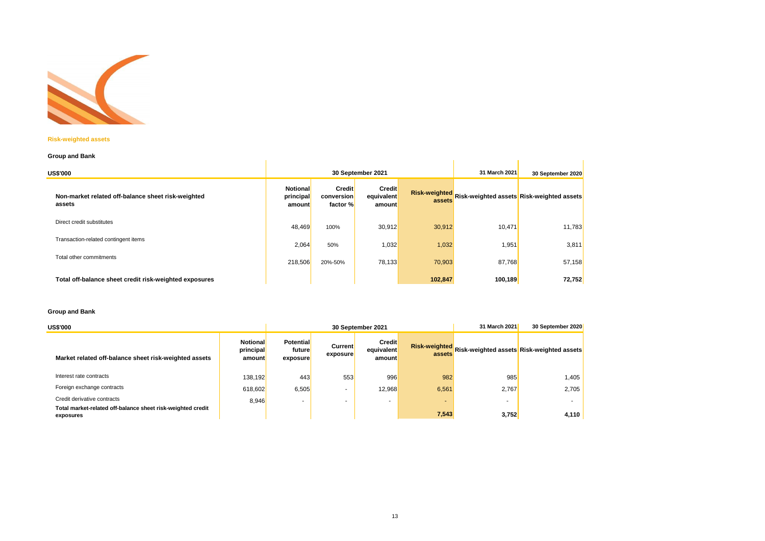

### **Risk-weighted assets**

## **Group and Bank**

| <b>Group and Bank</b>                                        |                                        |                                         |                                       |         |               |                                                         |  |  |  |  |  |
|--------------------------------------------------------------|----------------------------------------|-----------------------------------------|---------------------------------------|---------|---------------|---------------------------------------------------------|--|--|--|--|--|
| <b>US\$'000</b>                                              |                                        |                                         | 30 September 2021                     |         | 31 March 2021 | 30 September 2020                                       |  |  |  |  |  |
| Non-market related off-balance sheet risk-weighted<br>assets | <b>Notional</b><br>principal<br>amount | <b>Credit</b><br>conversion<br>factor % | <b>Credit</b><br>equivalent<br>amount | assets  |               | Risk-weighted Risk-weighted assets Risk-weighted assets |  |  |  |  |  |
| Direct credit substitutes                                    | 48,469                                 | 100%                                    | 30,912                                | 30,912  | 10,471        | 11,783                                                  |  |  |  |  |  |
| Transaction-related contingent items                         | 2,064                                  | 50%                                     | 1,032                                 | 1,032   | 1,951         | 3,811                                                   |  |  |  |  |  |
| Total other commitments                                      | 218,506                                | 20%-50%                                 | 78,133                                | 70,903  | 87,768        | 57,158                                                  |  |  |  |  |  |
| Total off-balance sheet credit risk-weighted exposures       |                                        |                                         |                                       | 102,847 | 100, 189      | <b>72,752</b>                                           |  |  |  |  |  |

### **Group and Bank**

| 30 September 2021<br><b>US\$'000</b>                                     |                                        |                                        |                            |                                       | 31 March 2021<br>30 September 2020 |       |                                                         |  |
|--------------------------------------------------------------------------|----------------------------------------|----------------------------------------|----------------------------|---------------------------------------|------------------------------------|-------|---------------------------------------------------------|--|
| Market related off-balance sheet risk-weighted assets                    | <b>Notional</b><br>principal<br>amount | <b>Potential</b><br>future<br>exposure | <b>Current</b><br>exposure | <b>Credit</b><br>equivalent<br>amount |                                    |       | Risk-weighted Risk-weighted assets Risk-weighted assets |  |
| Interest rate contracts                                                  | 138,192                                | 443                                    | 553                        | 996                                   | 982                                | 985   | 1,405                                                   |  |
| Foreign exchange contracts                                               | 618,602                                | 6,505                                  |                            | 12,968                                | 6,561                              | 2,767 | 2,705                                                   |  |
| Credit derivative contracts                                              | 8,946                                  | -                                      | -                          | $\blacksquare$                        |                                    |       |                                                         |  |
| Total market-related off-balance sheet risk-weighted credit<br>exposures |                                        |                                        |                            |                                       | 7,543                              | 3,752 | 4,110                                                   |  |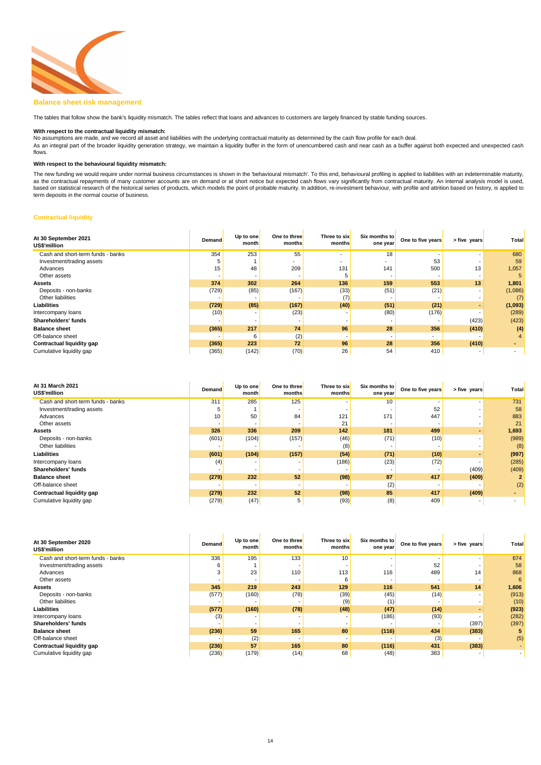

### **Balance sheet risk management**

#### **With respect to the contractual liquidity mismatch:**

#### **With respect to the behavioural liquidity mismatch:**

### **Contractual liquidity**

| At 30 September 2021<br>US\$'million | <b>Demand</b>            | Up to one<br>month | One to three<br>months | Three to six<br>months | Six months to<br>one year | One to five years        | > five years   | <b>Total</b> |
|--------------------------------------|--------------------------|--------------------|------------------------|------------------------|---------------------------|--------------------------|----------------|--------------|
| Cash and short-term funds - banks    | 354                      | 253                | 55                     | -                      | 18                        |                          |                | 680          |
| Investment/trading assets            |                          |                    |                        | $\sim$                 |                           | 53                       | $\,$           | 59           |
| Advances                             | 15                       | 48                 | 209                    | 131                    | 141                       | 500                      | 13             | 1,057        |
| Other assets                         |                          |                    |                        |                        |                           |                          |                |              |
| <b>Assets</b>                        | 374                      | 302                | 264                    | 136                    | 159                       | 553                      | 13             | 1,801        |
| Deposits - non-banks                 | (729)                    | (85)               | (167)                  | (33)                   | (51)                      | (21)                     | $\blacksquare$ | (1,086)      |
| Other liabilities                    |                          |                    |                        | (7)                    |                           |                          |                | (7)          |
| <b>Liabilities</b>                   | (729)                    | (85)               | (167)                  | (40)                   | (51)                      | (21)                     |                | (1,093)      |
| Intercompany loans                   | (10)                     |                    | (23)                   |                        | (80)                      | (176)                    |                | (289)        |
| <b>Shareholders' funds</b>           | $\overline{\phantom{0}}$ |                    |                        |                        |                           |                          | (423)          | (423)        |
| <b>Balance sheet</b>                 | (365)                    | 217                | 74                     | 96                     | 28                        | 356                      | (410)          | (4)          |
| Off-balance sheet                    | $\,$                     | 6                  | (2)                    |                        |                           | $\overline{\phantom{0}}$ |                |              |
| <b>Contractual liquidity gap</b>     | (365)                    | 223                | 72                     | 96                     | 28                        | 356                      | (410)          |              |
| Cumulative liquidity gap             | (365)                    | (142)              | (70)                   | 26                     | 54                        | 410                      | $\blacksquare$ |              |

| At 31 March 2021<br>US\$'million  | <b>Demand</b> | Up to one<br>month | One to three<br>months | Three to six<br>months | Six months to<br>one year | One to five years | > five years | Total       |
|-----------------------------------|---------------|--------------------|------------------------|------------------------|---------------------------|-------------------|--------------|-------------|
| Cash and short-term funds - banks | 311           | 285                | 125                    |                        | 10                        |                   |              | 731         |
| Investment/trading assets         |               |                    |                        |                        |                           | 52                |              | 58          |
| Advances                          | 10            | 50                 | 84                     | 121                    | 171                       | 447               |              | 883         |
| Other assets                      |               |                    |                        | 21                     |                           |                   |              | 21          |
| <b>Assets</b>                     | 326           | 336                | 209                    | 142                    | 181                       | 499               |              | 1,693       |
| Deposits - non-banks              | (601)         | (104)              | (157)                  | (46)                   | (71)                      | (10)              |              | (989)       |
| Other liabilities                 |               |                    |                        | (8)                    |                           |                   |              | (8)         |
| <b>Liabilities</b>                | (601)         | (104)              | (157)                  | (54)                   | (71)                      | (10)              |              | (997)       |
| Intercompany loans                | (4)           |                    |                        | (186)                  | (23)                      | (72)              |              | (285)       |
| <b>Shareholders' funds</b>        |               |                    |                        |                        |                           |                   | (409)        | (409)       |
| <b>Balance sheet</b>              | (279)         | 232                | 52                     | (98)                   | 87                        | 417               | (409)        | $\mathbf 2$ |
| Off-balance sheet                 |               |                    |                        |                        | (2)                       |                   |              | (2)         |
| <b>Contractual liquidity gap</b>  | (279)         | 232                | 52                     | (98)                   | 85                        | 417               | (409)        |             |
| Cumulative liquidity gap          | (279)         | (47)               | 5                      | (93)                   | (8)                       | 409               |              |             |

| At 30 September 2020<br>US\$'million | <b>Demand</b> | Up to one<br>month | One to three<br>months | Three to six<br>months | Six months to<br>one year | One to five years | > five years | Total |
|--------------------------------------|---------------|--------------------|------------------------|------------------------|---------------------------|-------------------|--------------|-------|
| Cash and short-term funds - banks    | 336           | 195                | 133                    | 10                     |                           |                   |              | 674   |
| Investment/trading assets            | 6             |                    |                        |                        |                           | 52                |              | 58    |
| Advances                             |               | 23                 | 110                    | 113                    | 116                       | 489               | 14           | 868   |
| Other assets                         |               |                    |                        | 6                      | $\overline{\phantom{a}}$  |                   |              | 6     |
| <b>Assets</b>                        | 345           | 219                | 243                    | 129                    | 116                       | 541               | 14           | 1,606 |
| Deposits - non-banks                 | (577)         | (160)              | (78)                   | (39)                   | (45)                      | (14)              |              | (913) |
| Other liabilities                    |               |                    |                        | (9)                    | (1)                       |                   |              | (10)  |
| <b>Liabilities</b>                   | (577)         | (160)              | (78)                   | (48)                   | (47)                      | (14)              |              | (923) |
| Intercompany loans                   | (3)           |                    |                        |                        | (186)                     | (93)              |              | (282) |
| <b>Shareholders' funds</b>           |               |                    |                        |                        |                           |                   | (397)        | (397) |
| <b>Balance sheet</b>                 | (236)         | 59                 | 165                    | 80                     | (116)                     | 434               | (383)        | 5     |
| Off-balance sheet                    |               | (2)                |                        |                        |                           | (3)               |              | (5)   |
| <b>Contractual liquidity gap</b>     | (236)         | 57                 | 165                    | 80                     | (116)                     | 431               | (383)        |       |
| Cumulative liquidity gap             | (236)         | (179)              | (14)                   | 68                     | (48)                      | 383               |              |       |

The tables that follow show the bank's liquidity mismatch. The tables reflect that loans and advances to customers are largely financed by stable funding sources.

No assumptions are made, and we record all asset and liabilities with the underlying contractual maturity as determined by the cash flow profile for each deal. As an integral part of the broader liquidity generation strategy, we maintain a liquidity buffer in the form of unencumbered cash and near cash as a buffer against both expected and unexpected cash flows.

The new funding we would require under normal business circumstances is shown in the 'behavioural mismatch'. To this end, behavioural profiling is applied to liabilities with an indeterminable maturity, as the contractual repayments of many customer accounts are on demand or at short notice but expected cash flows vary significantly from contractual maturity. An internal analysis model is used, based on statistical research of the historical series of products, which models the point of probable maturity. In addition, re-investment behaviour, with profile and attrition based on history, is applied to term deposits in the normal course of business.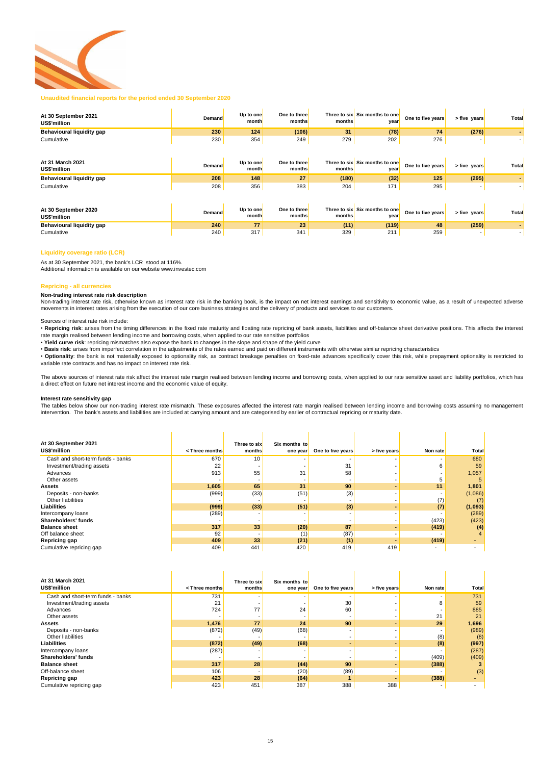

### **Unaudited financial reports for the period ended 30 September 2020**

| At 30 September 2021<br>US\$'million | <b>Demand</b> | Up to one<br>month | One to three<br>months | months | Three to six Six months to one<br>year | One to five years | > five years | Total |
|--------------------------------------|---------------|--------------------|------------------------|--------|----------------------------------------|-------------------|--------------|-------|
| <b>Behavioural liquidity gap</b>     | 230           | 124                | (106)                  | 31     | (78)                                   | 74                | (276)        |       |
| Cumulative                           | 230           | 354                | 249                    | 279    | 202                                    | 276               |              |       |
| At 31 March 2021<br>US\$'million     | <b>Demand</b> | Up to one<br>month | One to three<br>months | months | Three to six Six months to one<br>year | One to five years | > five years | Total |
| <b>Behavioural liquidity gap</b>     | 208           | 148                | 27                     | (180)  | (32)                                   | 125               | (295)        |       |
| Cumulative                           | 208           | 356                | 383                    | 204    | 171                                    | 295               |              |       |

| At 30 September 2020<br><b>US\$'million</b> | <b>Demand</b> | Up to one<br>month | One to three<br>months | months | Three to six Six months to one<br>year | One to five years | > five vears | <b>Total</b> |
|---------------------------------------------|---------------|--------------------|------------------------|--------|----------------------------------------|-------------------|--------------|--------------|
| <b>Behavioural liquidity gap</b>            | 240           |                    | ZΟ                     | (11)   | (119)                                  | 48                | (259)        |              |
| Cumulative                                  | 240           | 217                | 341                    | 329    | 211                                    | 259               |              |              |

### **Liquidity coverage ratio (LCR)**

### **Repricing - all currencies**

#### **Non-trading interest rate risk description**

#### **Interest rate sensitivity gap**

| At 30 September 2021              |                                                                                                                                                          | Three to six | Six months to |                   |              |          |              |
|-----------------------------------|----------------------------------------------------------------------------------------------------------------------------------------------------------|--------------|---------------|-------------------|--------------|----------|--------------|
| <b>US\$'million</b>               | <three months<="" th=""><th>months</th><th>one year</th><th>One to five years</th><th>&gt; five years</th><th>Non rate</th><th><b>Total</b></th></three> | months       | one year      | One to five years | > five years | Non rate | <b>Total</b> |
| Cash and short-term funds - banks | 670                                                                                                                                                      | 10           |               |                   |              |          | 680          |
| Investment/trading assets         | 22                                                                                                                                                       |              |               | 31                |              | 6.       | 59           |
| Advances                          | 913                                                                                                                                                      | 55           | 31            | 58                |              |          | 1,057        |
| Other assets                      |                                                                                                                                                          |              |               |                   |              |          |              |
| <b>Assets</b>                     | 1,605                                                                                                                                                    | 65           | 31            | 90                |              | 11       | 1,801        |
| Deposits - non-banks              | (999)                                                                                                                                                    | (33)         | (51)          | (3)               |              |          | (1,086)      |
| Other liabilities                 |                                                                                                                                                          |              |               |                   |              | (7)      | (7)          |
| <b>Liabilities</b>                | (999)                                                                                                                                                    | (33)         | (51)          | (3)               |              | (7)      | (1,093)      |
| Intercompany loans                | (289)                                                                                                                                                    |              |               |                   |              |          | (289)        |
| <b>Shareholders' funds</b>        |                                                                                                                                                          |              |               |                   |              | (423)    | (423)        |
| <b>Balance sheet</b>              | 317                                                                                                                                                      | 33           | (20)          | 87                |              | (419)    | (4)          |
| Off balance sheet                 | 92                                                                                                                                                       |              | (1)           | (87)              |              |          |              |
| <b>Repricing gap</b>              | 409                                                                                                                                                      | 33           | (21)          | (1)               |              | (419)    |              |
| Cumulative repricing gap          | 409                                                                                                                                                      | 441          | 420           | 419               | 419          | -        |              |

The tables below show our non-trading interest rate mismatch. These exposures affected the interest rate margin realised between lending income and borrowing costs assuming no management intervention. The bank's assets and liabilities are included at carrying amount and are categorised by earlier of contractual repricing or maturity date.

Non-trading interest rate risk, otherwise known as interest rate risk in the banking book, is the impact on net interest earnings and sensitivity to economic value, as a result of unexpected adverse movements in interest rates arising from the execution of our core business strategies and the delivery of products and services to our customers.

• Repricing risk: arises from the timing differences in the fixed rate maturity and floating rate repricing of bank assets, liabilities and off-balance sheet derivative positions. This affects the interest rate margin realised between lending income and borrowing costs, when applied to our rate sensitive portfolios

• Optionality: the bank is not materially exposed to optionality risk, as contract breakage penalties on fixed-rate advances specifically cover this risk, while prepayment optionality is restricted to variable rate contracts and has no impact on interest rate risk.

| At 31 March 2021<br>US\$'million  | <three months<="" th=""><th>Three to six<br/>months</th><th>Six months to<br/>one year</th><th>One to five years</th><th>&gt; five years</th><th>Non rate</th><th>Total</th></three> | Three to six<br>months | Six months to<br>one year | One to five years | > five years | Non rate                 | Total                    |
|-----------------------------------|--------------------------------------------------------------------------------------------------------------------------------------------------------------------------------------|------------------------|---------------------------|-------------------|--------------|--------------------------|--------------------------|
| Cash and short-term funds - banks | 731                                                                                                                                                                                  |                        |                           |                   |              |                          | 731                      |
| Investment/trading assets         | 21                                                                                                                                                                                   |                        |                           | 30                |              | 8                        | 59                       |
| Advances                          | 724                                                                                                                                                                                  | 77                     | 24                        | 60                |              |                          | 885                      |
| Other assets                      |                                                                                                                                                                                      |                        |                           |                   |              | 21                       | 21                       |
| <b>Assets</b>                     | 1,476                                                                                                                                                                                | 77                     | 24                        | 90                |              | 29                       | 1,696                    |
| Deposits - non-banks              | (872)                                                                                                                                                                                | (49)                   | (68)                      |                   |              |                          | (989)                    |
| Other liabilities                 |                                                                                                                                                                                      |                        |                           |                   |              | (8)                      | (8)                      |
| <b>Liabilities</b>                | (872)                                                                                                                                                                                | (49)                   | (68)                      |                   |              | (8)                      | (997)                    |
| Intercompany loans                | (287)                                                                                                                                                                                |                        |                           |                   |              |                          | (287)                    |
| <b>Shareholders' funds</b>        |                                                                                                                                                                                      |                        |                           |                   |              | (409)                    | (409)                    |
| <b>Balance sheet</b>              | 317                                                                                                                                                                                  | 28                     | (44)                      | 90                |              | (388)                    |                          |
| Off-balance sheet                 | 106                                                                                                                                                                                  |                        | (20)                      | (89)              |              |                          | (3)                      |
| <b>Repricing gap</b>              | 423                                                                                                                                                                                  | 28                     | (64)                      |                   |              | (388)                    |                          |
| Cumulative repricing gap          | 423                                                                                                                                                                                  | 451                    | 387                       | 388               | 388          | $\overline{\phantom{a}}$ | $\overline{\phantom{a}}$ |

The above sources of interest rate risk affect the interest rate margin realised between lending income and borrowing costs, when applied to our rate sensitive asset and liability portfolios, which has a direct effect on future net interest income and the economic value of equity.

#### Sources of interest rate risk include:

- **Yield curve risk**: repricing mismatches also expose the bank to changes in the slope and shape of the yield curve
- **Basis risk**: arises from imperfect correlation in the adjustments of the rates earned and paid on different instruments with otherwise similar repricing characteristics

As at 30 September 2021, the bank's LCR stood at 116%. Additional information is available on our website www.investec.com